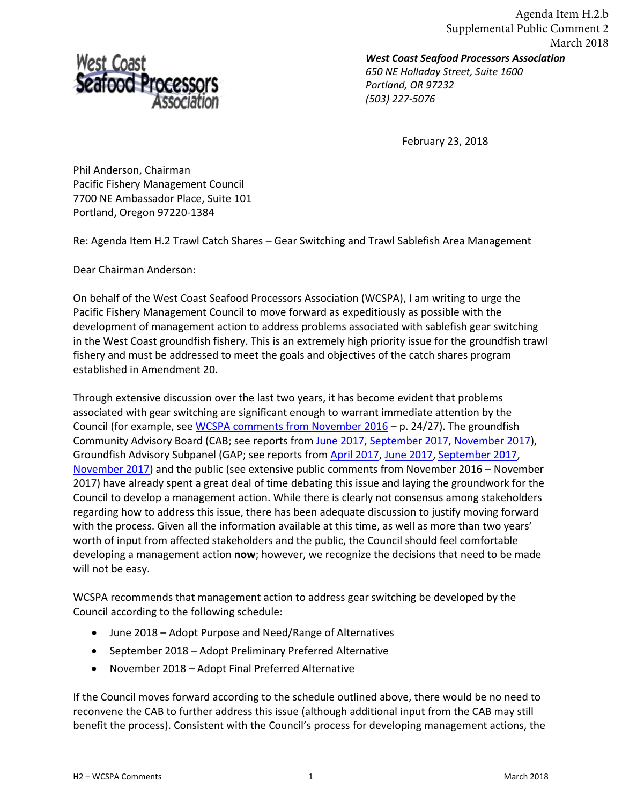

*West Coast Seafood Processors Association*  Agenda Item H.2.b Supplemental Public Comment 2 March 2018

*650 NE Holladay Street, Suite 1600 Portland, OR 97232 (503) 227-5076* 

February 23, 2018

Phil Anderson, Chairman Pacific Fishery Management Council 7700 NE Ambassador Place, Suite 101 Portland, Oregon 97220-1384

Re: Agenda Item H.2 Trawl Catch Shares – Gear Switching and Trawl Sablefish Area Management

Dear Chairman Anderson:

On behalf of the West Coast Seafood Processors Association (WCSPA), I am writing to urge the Pacific Fishery Management Council to move forward as expeditiously as possible with the development of management action to address problems associated with sablefish gear switching in the West Coast groundfish fishery. This is an extremely high priority issue for the groundfish trawl fishery and must be addressed to meet the goals and objectives of the catch shares program established in Amendment 20.

Through extensive discussion over the last two years, it has become evident that problems associated with gear switching are significant enough to warrant immediate attention by the Council (for example, se[e WCSPA comments from November 2016](http://www.pcouncil.org/wp-content/uploads/2016/10/F6d_PubCom_NOV2016BB.pdf) – p. 24/27). The groundfish Community Advisory Board (CAB; see reports from [June 2017,](http://www.pcouncil.org/wp-content/uploads/2017/06/F2c_Sup_CAB_Rpt_Jun2017BB.pdf) [September 2017,](http://www.pcouncil.org/wp-content/uploads/2017/08/E7a_CAB_Rpt1_SEPT2017BB.pdf) [November 2017\)](https://www.pcouncil.org/wp-content/uploads/2017/11/F2a_Sup_CAB_Rpt1_NOV2017BB.pdf), Groundfish Advisory Subpanel (GAP; see reports from [April 2017,](http://www.pcouncil.org/wp-content/uploads/2017/04/F4b_Sup_GAP_Rpt_Apr2017BB.pdf) [June 2017,](http://www.pcouncil.org/wp-content/uploads/2017/06/F2c_Sup_GAP_Rpt_Jun2017BB.pdf) [September 2017,](http://www.pcouncil.org/wp-content/uploads/2017/09/E7a_Sup_GAP_Rpt1_SEPT2017BB.pdf) [November 2017\)](https://www.pcouncil.org/wp-content/uploads/2017/11/F2a_Sup_GAP_Rpt1_NOV2017BB.pdf) and the public (see extensive public comments from November 2016 – November 2017) have already spent a great deal of time debating this issue and laying the groundwork for the Council to develop a management action. While there is clearly not consensus among stakeholders regarding how to address this issue, there has been adequate discussion to justify moving forward with the process. Given all the information available at this time, as well as more than two years' worth of input from affected stakeholders and the public, the Council should feel comfortable developing a management action **now**; however, we recognize the decisions that need to be made will not be easy.

WCSPA recommends that management action to address gear switching be developed by the Council according to the following schedule:

- June 2018 Adopt Purpose and Need/Range of Alternatives
- September 2018 Adopt Preliminary Preferred Alternative
- November 2018 Adopt Final Preferred Alternative

If the Council moves forward according to the schedule outlined above, there would be no need to reconvene the CAB to further address this issue (although additional input from the CAB may still benefit the process). Consistent with the Council's process for developing management actions, the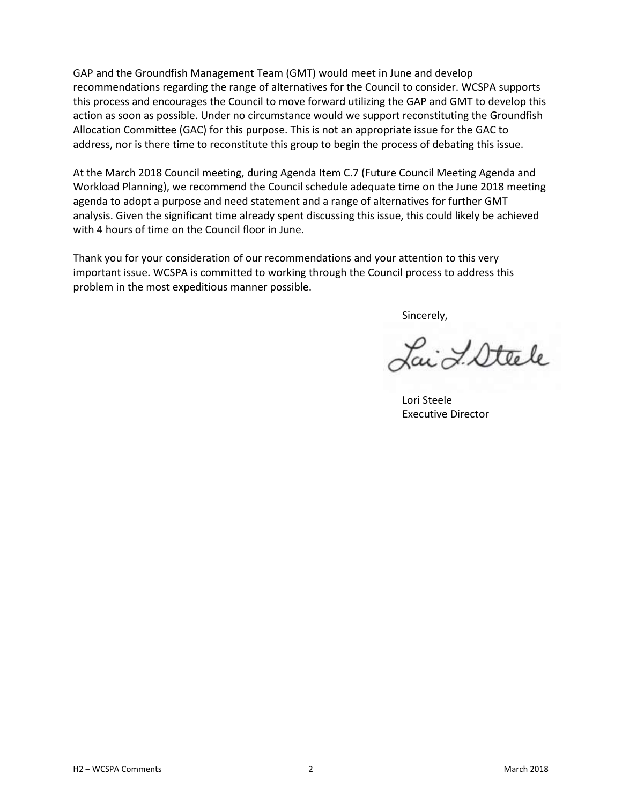GAP and the Groundfish Management Team (GMT) would meet in June and develop recommendations regarding the range of alternatives for the Council to consider. WCSPA supports this process and encourages the Council to move forward utilizing the GAP and GMT to develop this action as soon as possible. Under no circumstance would we support reconstituting the Groundfish Allocation Committee (GAC) for this purpose. This is not an appropriate issue for the GAC to address, nor is there time to reconstitute this group to begin the process of debating this issue.

At the March 2018 Council meeting, during Agenda Item C.7 (Future Council Meeting Agenda and Workload Planning), we recommend the Council schedule adequate time on the June 2018 meeting agenda to adopt a purpose and need statement and a range of alternatives for further GMT analysis. Given the significant time already spent discussing this issue, this could likely be achieved with 4 hours of time on the Council floor in June.

Thank you for your consideration of our recommendations and your attention to this very important issue. WCSPA is committed to working through the Council process to address this problem in the most expeditious manner possible.

Sincerely,

Lai L'Attele

Lori Steele Executive Director